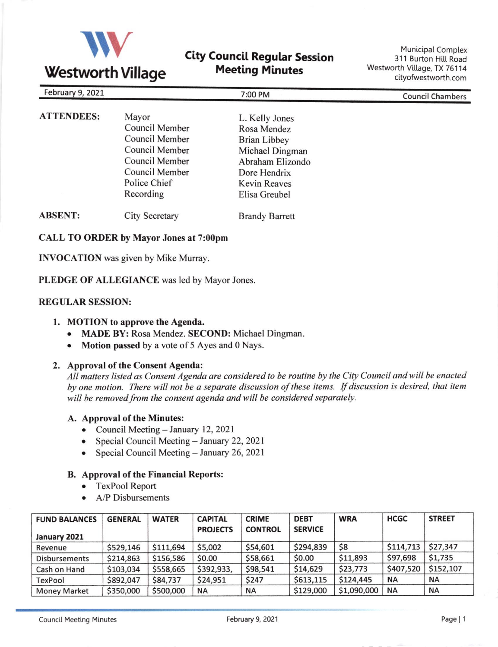

# **Westworth Village**

# **City Council Regular Session** Meeting Minutes

Municipal Complex 311 Burton Hill Road Westworth Village, TX 76114 cityofwestworth.com

| February 9, 2021  | 7:00 PM                                                                                                                      |                                                                                                                                                     | <b>Council Chambers</b> |  |
|-------------------|------------------------------------------------------------------------------------------------------------------------------|-----------------------------------------------------------------------------------------------------------------------------------------------------|-------------------------|--|
| <b>ATTENDEES:</b> | Mayor<br>Council Member<br>Council Member<br>Council Member<br>Council Member<br>Council Member<br>Police Chief<br>Recording | L. Kelly Jones<br>Rosa Mendez<br><b>Brian Libbey</b><br>Michael Dingman<br>Abraham Elizondo<br>Dore Hendrix<br><b>Kevin Reaves</b><br>Elisa Greubel |                         |  |
| <b>ABSENT:</b>    | City Secretary                                                                                                               | <b>Brandy Barrett</b>                                                                                                                               |                         |  |

#### CALL TO ORDER by Mayor Jones at 7:00pm

INVOCATION was given by Mike Murray.

PLEDGE OF ALLEGIANCE was led by Mayor Jones.

#### REGULAR SESSION:

#### 1. MOTION to approve the Agenda.

- o MADE BY: Rosa Mendez. SECOND: Michael Dingman.
- Motion passed by a vote of 5 Ayes and 0 Nays.

#### 2. Approval of the Consent Agenda:

All mafters listed as Consent Agenda are considered to be routine by the City Council and will be enacted by one motion. There will not be a separate discussion of these items. If discussion is desired, that item will be removed from the consent agenda and will be considered separately.

- A. Approval of the Minutes:
	- Council Meeting January 12, 2021<br>• Special Council Meeting January 2
	- Special Council Meeting January 22, 2021<br>• Special Council Meeting January 26, 2021
	- Special Council Meeting January 26, 2021

#### B. Approval of the Financial Reports:

- TexPool Report
- A/P Disbursements

| <b>FUND BALANCES</b><br>January 2021 | <b>GENERAL</b> | <b>WATER</b> | <b>CAPITAL</b><br><b>PROJECTS</b> | <b>CRIME</b><br><b>CONTROL</b> | <b>DEBT</b><br><b>SERVICE</b> | <b>WRA</b>  | <b>HCGC</b> | <b>STREET</b> |
|--------------------------------------|----------------|--------------|-----------------------------------|--------------------------------|-------------------------------|-------------|-------------|---------------|
| Revenue                              | \$529,146      | \$111,694    | \$5,002                           | \$54,601                       | \$294,839                     | \$8         | \$114,713   | \$27,347      |
| <b>Disbursements</b>                 | \$214,863      | \$156,586    | \$0.00                            | \$58,661                       | \$0.00                        | \$11,893    | \$97,698    | \$1,735       |
| Cash on Hand                         | \$103,034      | \$558,665    | \$392,933,                        | \$98,541                       | \$14,629                      | \$23,773    | \$407,520   | \$152,107     |
| TexPool                              | \$892,047      | \$84,737     | \$24,951                          | \$247                          | \$613,115                     | \$124,445   | ΝA          | <b>NA</b>     |
| <b>Money Market</b>                  | \$350,000      | \$500,000    | <b>NA</b>                         | <b>NA</b>                      | \$129,000                     | \$1,090,000 | ΝA          | ΝA            |